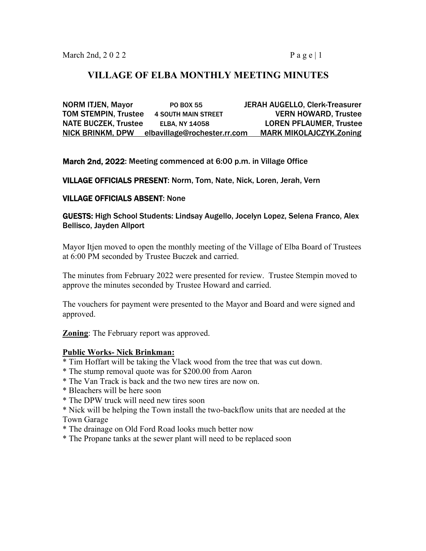# **VILLAGE OF ELBA MONTHLY MEETING MINUTES**

NORM ITJEN, Mayor **PO BOX 55** JERAH AUGELLO, Clerk-Treasurer TOM STEMPIN, Trustee 4 SOUTH MAIN STREET VERN HOWARD, Trustee NATE BUCZEK, Trustee ELBA, NY 14058 LOREN PFLAUMER, Trustee NICK BRINKM, DPW elbavillage@rochester.rr.com MARK MIKOLAJCZYK,Zoning

March 2nd, 2022: Meeting commenced at 6:00 p.m. in Village Office

VILLAGE OFFICIALS PRESENT: Norm, Tom, Nate, Nick, Loren, Jerah, Vern

### VILLAGE OFFICIALS ABSENT: None

GUESTS: High School Students: Lindsay Augello, Jocelyn Lopez, Selena Franco, Alex Bellisco, Jayden Allport

Mayor Itjen moved to open the monthly meeting of the Village of Elba Board of Trustees at 6:00 PM seconded by Trustee Buczek and carried.

The minutes from February 2022 were presented for review. Trustee Stempin moved to approve the minutes seconded by Trustee Howard and carried.

The vouchers for payment were presented to the Mayor and Board and were signed and approved.

**Zoning**: The February report was approved.

### **Public Works- Nick Brinkman:**

- \* Tim Hoffart will be taking the Vlack wood from the tree that was cut down.
- \* The stump removal quote was for \$200.00 from Aaron
- \* The Van Track is back and the two new tires are now on.
- \* Bleachers will be here soon
- \* The DPW truck will need new tires soon
- \* Nick will be helping the Town install the two-backflow units that are needed at the Town Garage
- \* The drainage on Old Ford Road looks much better now
- \* The Propane tanks at the sewer plant will need to be replaced soon